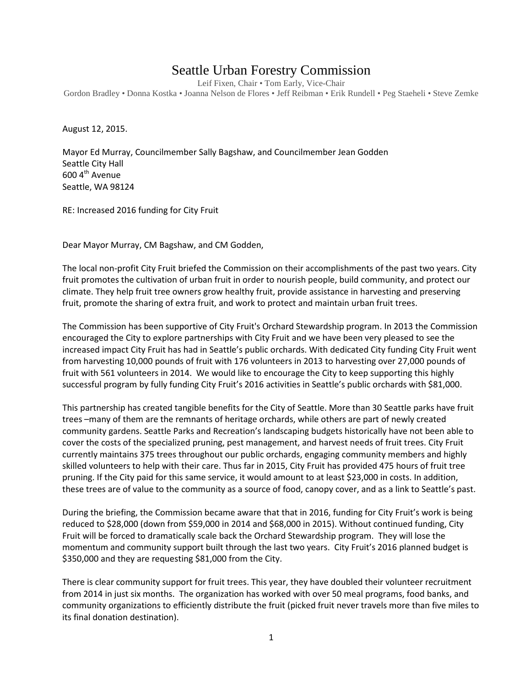## Seattle Urban Forestry Commission

Leif Fixen, Chair • Tom Early, Vice-Chair Gordon Bradley • Donna Kostka • Joanna Nelson de Flores • Jeff Reibman • Erik Rundell • Peg Staeheli • Steve Zemke

August 12, 2015.

Mayor Ed Murray, Councilmember Sally Bagshaw, and Councilmember Jean Godden Seattle City Hall 600 4<sup>th</sup> Avenue Seattle, WA 98124

RE: Increased 2016 funding for City Fruit

Dear Mayor Murray, CM Bagshaw, and CM Godden,

The local non-profit City Fruit briefed the Commission on their accomplishments of the past two years. City fruit promotes the cultivation of urban fruit in order to nourish people, build community, and protect our climate. They help fruit tree owners grow healthy fruit, provide assistance in harvesting and preserving fruit, promote the sharing of extra fruit, and work to protect and maintain urban fruit trees.

The Commission has been supportive of City Fruit's Orchard Stewardship program. In 2013 the Commission encouraged the City to explore partnerships with City Fruit and we have been very pleased to see the increased impact City Fruit has had in Seattle's public orchards. With dedicated City funding City Fruit went from harvesting 10,000 pounds of fruit with 176 volunteers in 2013 to harvesting over 27,000 pounds of fruit with 561 volunteers in 2014. We would like to encourage the City to keep supporting this highly successful program by fully funding City Fruit's 2016 activities in Seattle's public orchards with \$81,000.

This partnership has created tangible benefits for the City of Seattle. More than 30 Seattle parks have fruit trees –many of them are the remnants of heritage orchards, while others are part of newly created community gardens. Seattle Parks and Recreation's landscaping budgets historically have not been able to cover the costs of the specialized pruning, pest management, and harvest needs of fruit trees. City Fruit currently maintains 375 trees throughout our public orchards, engaging community members and highly skilled volunteers to help with their care. Thus far in 2015, City Fruit has provided 475 hours of fruit tree pruning. If the City paid for this same service, it would amount to at least \$23,000 in costs. In addition, these trees are of value to the community as a source of food, canopy cover, and as a link to Seattle's past.

During the briefing, the Commission became aware that that in 2016, funding for City Fruit's work is being reduced to \$28,000 (down from \$59,000 in 2014 and \$68,000 in 2015). Without continued funding, City Fruit will be forced to dramatically scale back the Orchard Stewardship program. They will lose the momentum and community support built through the last two years. City Fruit's 2016 planned budget is \$350,000 and they are requesting \$81,000 from the City.

There is clear community support for fruit trees. This year, they have doubled their volunteer recruitment from 2014 in just six months. The organization has worked with over 50 meal programs, food banks, and community organizations to efficiently distribute the fruit (picked fruit never travels more than five miles to its final donation destination).